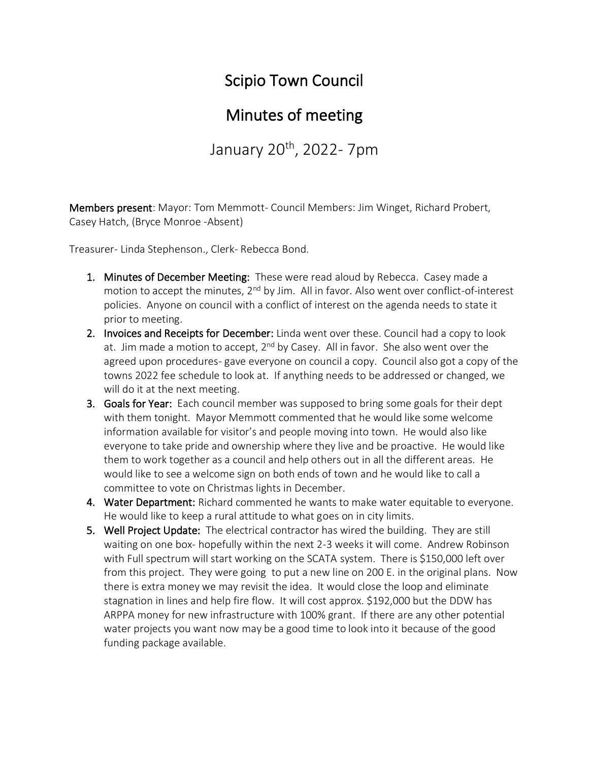## Scipio Town Council

## Minutes of meeting

January 20<sup>th</sup>, 2022- 7pm

Members present: Mayor: Tom Memmott- Council Members: Jim Winget, Richard Probert, Casey Hatch, (Bryce Monroe -Absent)

Treasurer- Linda Stephenson., Clerk- Rebecca Bond.

- 1. Minutes of December Meeting: These were read aloud by Rebecca. Casey made a motion to accept the minutes,  $2^{nd}$  by Jim. All in favor. Also went over conflict-of-interest policies. Anyone on council with a conflict of interest on the agenda needs to state it prior to meeting.
- 2. Invoices and Receipts for December: Linda went over these. Council had a copy to look at. Jim made a motion to accept,  $2^{nd}$  by Casey. All in favor. She also went over the agreed upon procedures- gave everyone on council a copy. Council also got a copy of the towns 2022 fee schedule to look at. If anything needs to be addressed or changed, we will do it at the next meeting.
- 3. Goals for Year: Each council member was supposed to bring some goals for their dept with them tonight. Mayor Memmott commented that he would like some welcome information available for visitor's and people moving into town. He would also like everyone to take pride and ownership where they live and be proactive. He would like them to work together as a council and help others out in all the different areas. He would like to see a welcome sign on both ends of town and he would like to call a committee to vote on Christmas lights in December.
- 4. Water Department: Richard commented he wants to make water equitable to everyone. He would like to keep a rural attitude to what goes on in city limits.
- 5. Well Project Update: The electrical contractor has wired the building. They are still waiting on one box- hopefully within the next 2-3 weeks it will come. Andrew Robinson with Full spectrum will start working on the SCATA system. There is \$150,000 left over from this project. They were going to put a new line on 200 E. in the original plans. Now there is extra money we may revisit the idea. It would close the loop and eliminate stagnation in lines and help fire flow. It will cost approx. \$192,000 but the DDW has ARPPA money for new infrastructure with 100% grant. If there are any other potential water projects you want now may be a good time to look into it because of the good funding package available.